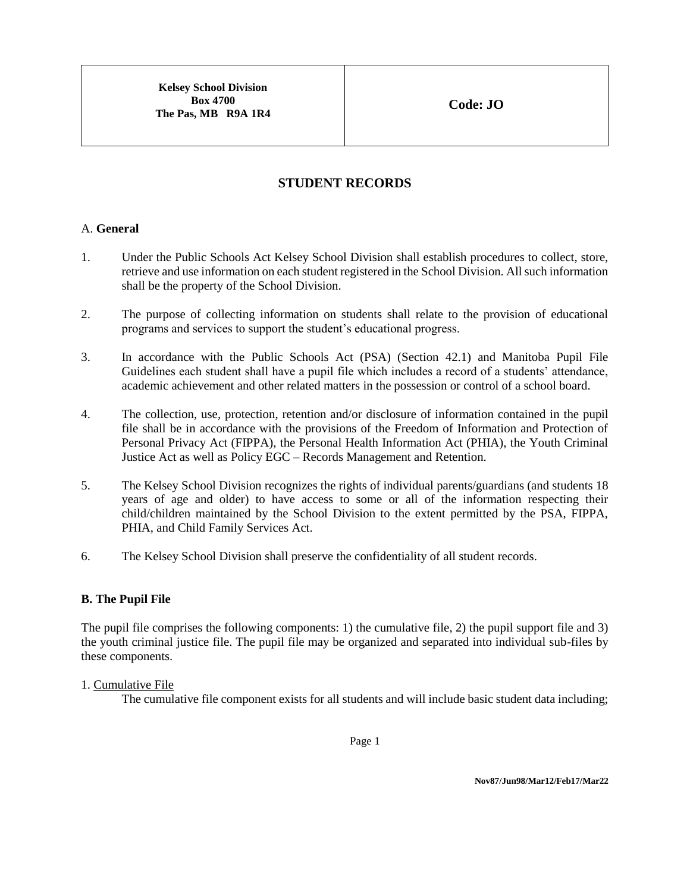**Kelsey School Division Box 4700 The Pas, MB R9A 1R4**

# **STUDENT RECORDS**

#### A. **General**

- 1. Under the Public Schools Act Kelsey School Division shall establish procedures to collect, store, retrieve and use information on each student registered in the School Division. All such information shall be the property of the School Division.
- 2. The purpose of collecting information on students shall relate to the provision of educational programs and services to support the student's educational progress.
- 3. In accordance with the Public Schools Act (PSA) (Section 42.1) and Manitoba Pupil File Guidelines each student shall have a pupil file which includes a record of a students' attendance, academic achievement and other related matters in the possession or control of a school board.
- 4. The collection, use, protection, retention and/or disclosure of information contained in the pupil file shall be in accordance with the provisions of the Freedom of Information and Protection of Personal Privacy Act (FIPPA), the Personal Health Information Act (PHIA), the Youth Criminal Justice Act as well as Policy EGC – Records Management and Retention.
- 5. The Kelsey School Division recognizes the rights of individual parents/guardians (and students 18 years of age and older) to have access to some or all of the information respecting their child/children maintained by the School Division to the extent permitted by the PSA, FIPPA, PHIA, and Child Family Services Act.
- 6. The Kelsey School Division shall preserve the confidentiality of all student records.

#### **B. The Pupil File**

The pupil file comprises the following components: 1) the cumulative file, 2) the pupil support file and 3) the youth criminal justice file. The pupil file may be organized and separated into individual sub-files by these components.

#### 1. Cumulative File

The cumulative file component exists for all students and will include basic student data including;

Page 1

**Nov87/Jun98/Mar12/Feb17/Mar22**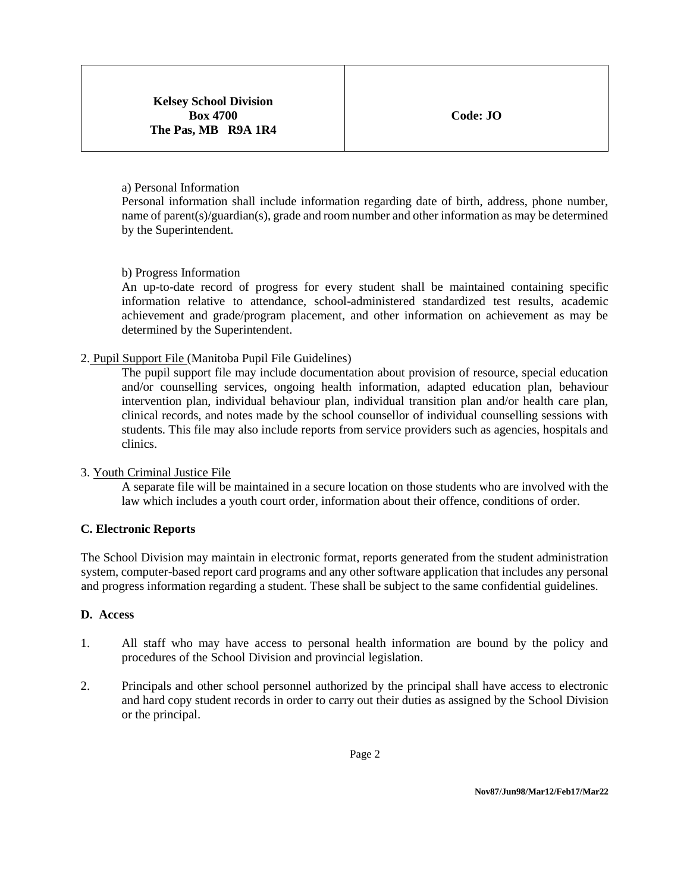#### a) Personal Information

Personal information shall include information regarding date of birth, address, phone number, name of parent(s)/guardian(s), grade and room number and other information as may be determined by the Superintendent.

#### b) Progress Information

An up-to-date record of progress for every student shall be maintained containing specific information relative to attendance, school-administered standardized test results, academic achievement and grade/program placement, and other information on achievement as may be determined by the Superintendent.

### 2. Pupil Support File (Manitoba Pupil File Guidelines)

The pupil support file may include documentation about provision of resource, special education and/or counselling services, ongoing health information, adapted education plan, behaviour intervention plan, individual behaviour plan, individual transition plan and/or health care plan, clinical records, and notes made by the school counsellor of individual counselling sessions with students. This file may also include reports from service providers such as agencies, hospitals and clinics.

#### 3. Youth Criminal Justice File

A separate file will be maintained in a secure location on those students who are involved with the law which includes a youth court order, information about their offence, conditions of order.

#### **C. Electronic Reports**

The School Division may maintain in electronic format, reports generated from the student administration system, computer-based report card programs and any other software application that includes any personal and progress information regarding a student. These shall be subject to the same confidential guidelines.

#### **D. Access**

- 1. All staff who may have access to personal health information are bound by the policy and procedures of the School Division and provincial legislation.
- 2. Principals and other school personnel authorized by the principal shall have access to electronic and hard copy student records in order to carry out their duties as assigned by the School Division or the principal.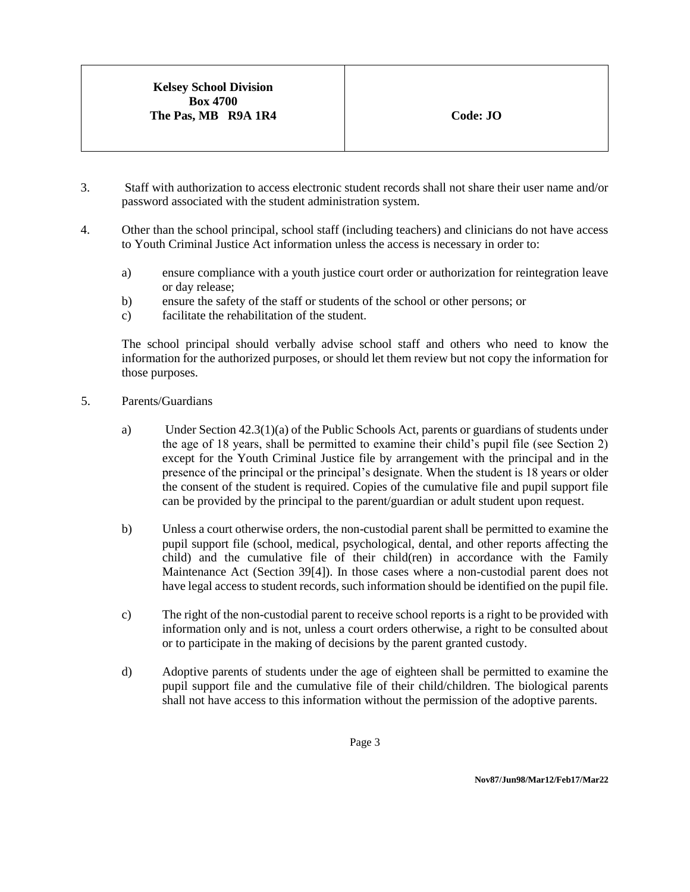- 3. Staff with authorization to access electronic student records shall not share their user name and/or password associated with the student administration system.
- 4. Other than the school principal, school staff (including teachers) and clinicians do not have access to Youth Criminal Justice Act information unless the access is necessary in order to:
	- a) ensure compliance with a youth justice court order or authorization for reintegration leave or day release;
	- b) ensure the safety of the staff or students of the school or other persons; or
	- c) facilitate the rehabilitation of the student.

The school principal should verbally advise school staff and others who need to know the information for the authorized purposes, or should let them review but not copy the information for those purposes.

- 5. Parents/Guardians
	- a) Under Section 42.3(1)(a) of the Public Schools Act, parents or guardians of students under the age of 18 years, shall be permitted to examine their child's pupil file (see Section 2) except for the Youth Criminal Justice file by arrangement with the principal and in the presence of the principal or the principal's designate. When the student is 18 years or older the consent of the student is required. Copies of the cumulative file and pupil support file can be provided by the principal to the parent/guardian or adult student upon request.
	- b) Unless a court otherwise orders, the non-custodial parent shall be permitted to examine the pupil support file (school, medical, psychological, dental, and other reports affecting the child) and the cumulative file of their child(ren) in accordance with the Family Maintenance Act (Section 39[4]). In those cases where a non-custodial parent does not have legal access to student records, such information should be identified on the pupil file.
	- c) The right of the non-custodial parent to receive school reports is a right to be provided with information only and is not, unless a court orders otherwise, a right to be consulted about or to participate in the making of decisions by the parent granted custody.
	- d) Adoptive parents of students under the age of eighteen shall be permitted to examine the pupil support file and the cumulative file of their child/children. The biological parents shall not have access to this information without the permission of the adoptive parents.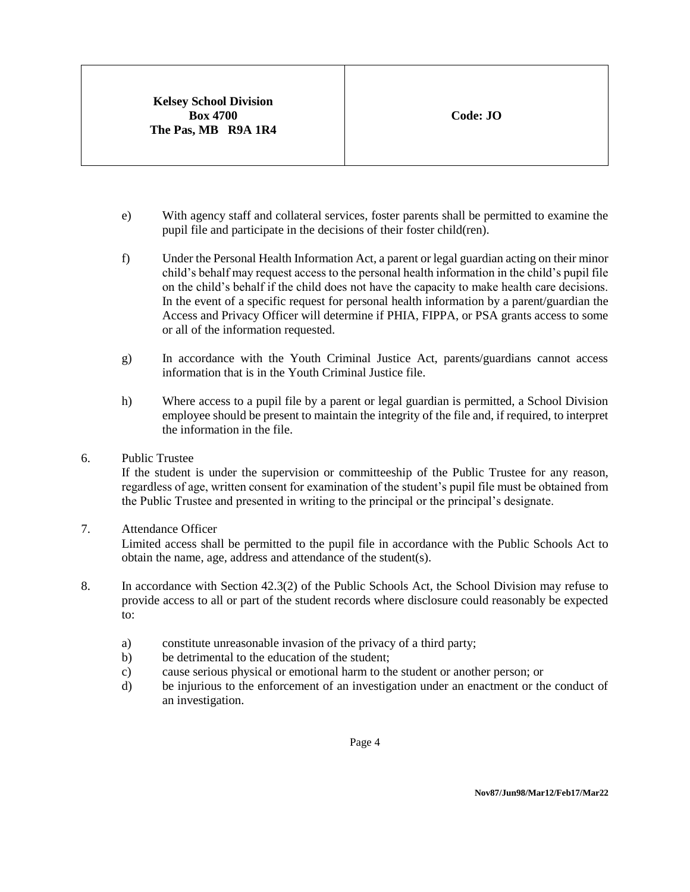- e) With agency staff and collateral services, foster parents shall be permitted to examine the pupil file and participate in the decisions of their foster child(ren).
- f) Under the Personal Health Information Act, a parent or legal guardian acting on their minor child's behalf may request access to the personal health information in the child's pupil file on the child's behalf if the child does not have the capacity to make health care decisions. In the event of a specific request for personal health information by a parent/guardian the Access and Privacy Officer will determine if PHIA, FIPPA, or PSA grants access to some or all of the information requested.
- g) In accordance with the Youth Criminal Justice Act, parents/guardians cannot access information that is in the Youth Criminal Justice file.
- h) Where access to a pupil file by a parent or legal guardian is permitted, a School Division employee should be present to maintain the integrity of the file and, if required, to interpret the information in the file.
- 6. Public Trustee

If the student is under the supervision or committeeship of the Public Trustee for any reason, regardless of age, written consent for examination of the student's pupil file must be obtained from the Public Trustee and presented in writing to the principal or the principal's designate.

7. Attendance Officer

Limited access shall be permitted to the pupil file in accordance with the Public Schools Act to obtain the name, age, address and attendance of the student(s).

- 8. In accordance with Section 42.3(2) of the Public Schools Act, the School Division may refuse to provide access to all or part of the student records where disclosure could reasonably be expected to:
	- a) constitute unreasonable invasion of the privacy of a third party;
	- b) be detrimental to the education of the student;
	- c) cause serious physical or emotional harm to the student or another person; or
	- d) be injurious to the enforcement of an investigation under an enactment or the conduct of an investigation.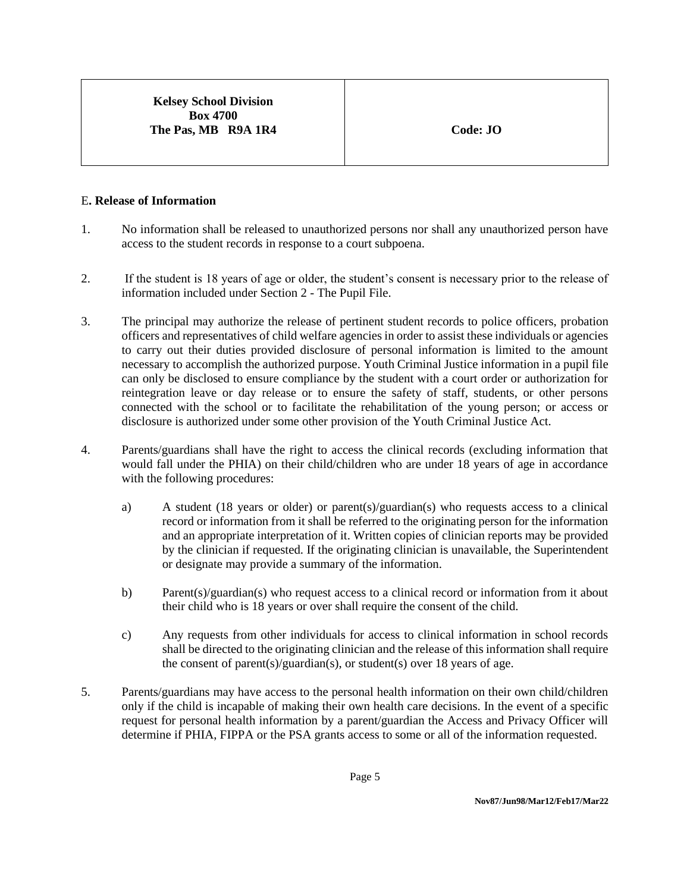### **Kelsey School Division Box 4700 The Pas, MB R9A 1R4 Code: JO**

### E**. Release of Information**

- 1. No information shall be released to unauthorized persons nor shall any unauthorized person have access to the student records in response to a court subpoena.
- 2. If the student is 18 years of age or older, the student's consent is necessary prior to the release of information included under Section 2 - The Pupil File.
- 3. The principal may authorize the release of pertinent student records to police officers, probation officers and representatives of child welfare agencies in order to assist these individuals or agencies to carry out their duties provided disclosure of personal information is limited to the amount necessary to accomplish the authorized purpose. Youth Criminal Justice information in a pupil file can only be disclosed to ensure compliance by the student with a court order or authorization for reintegration leave or day release or to ensure the safety of staff, students, or other persons connected with the school or to facilitate the rehabilitation of the young person; or access or disclosure is authorized under some other provision of the Youth Criminal Justice Act.
- 4. Parents/guardians shall have the right to access the clinical records (excluding information that would fall under the PHIA) on their child/children who are under 18 years of age in accordance with the following procedures:
	- a) A student (18 years or older) or parent(s)/guardian(s) who requests access to a clinical record or information from it shall be referred to the originating person for the information and an appropriate interpretation of it. Written copies of clinician reports may be provided by the clinician if requested. If the originating clinician is unavailable, the Superintendent or designate may provide a summary of the information.
	- b) Parent(s)/guardian(s) who request access to a clinical record or information from it about their child who is 18 years or over shall require the consent of the child.
	- c) Any requests from other individuals for access to clinical information in school records shall be directed to the originating clinician and the release of this information shall require the consent of parent(s)/guardian(s), or student(s) over 18 years of age.
- 5. Parents/guardians may have access to the personal health information on their own child/children only if the child is incapable of making their own health care decisions. In the event of a specific request for personal health information by a parent/guardian the Access and Privacy Officer will determine if PHIA, FIPPA or the PSA grants access to some or all of the information requested.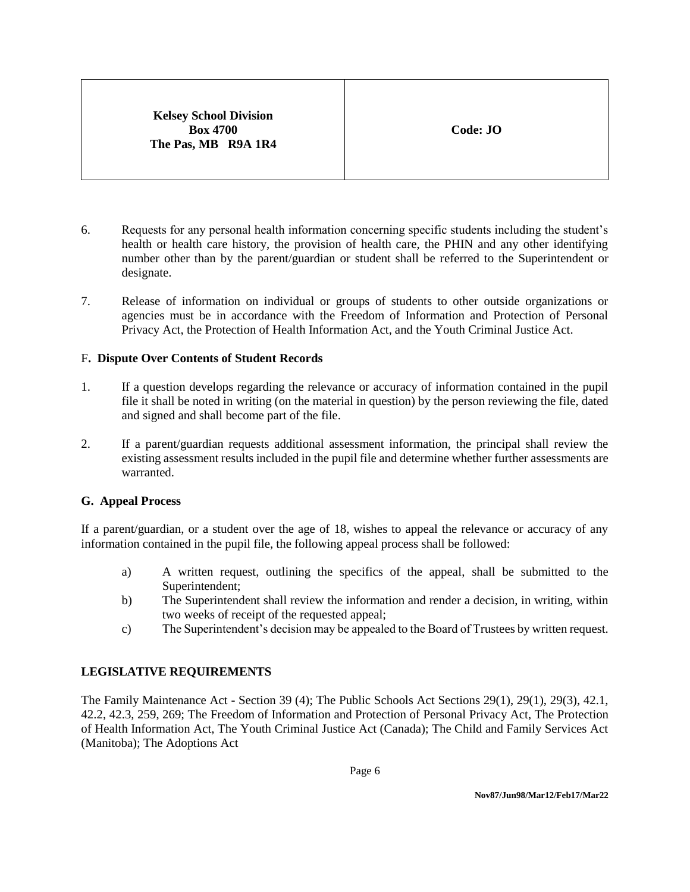**Kelsey School Division Box 4700 The Pas, MB R9A 1R4**

- 6. Requests for any personal health information concerning specific students including the student's health or health care history, the provision of health care, the PHIN and any other identifying number other than by the parent/guardian or student shall be referred to the Superintendent or designate.
- 7. Release of information on individual or groups of students to other outside organizations or agencies must be in accordance with the Freedom of Information and Protection of Personal Privacy Act, the Protection of Health Information Act, and the Youth Criminal Justice Act.

#### F**. Dispute Over Contents of Student Records**

- 1. If a question develops regarding the relevance or accuracy of information contained in the pupil file it shall be noted in writing (on the material in question) by the person reviewing the file, dated and signed and shall become part of the file.
- 2. If a parent/guardian requests additional assessment information, the principal shall review the existing assessment results included in the pupil file and determine whether further assessments are warranted.

#### **G. Appeal Process**

If a parent/guardian, or a student over the age of 18, wishes to appeal the relevance or accuracy of any information contained in the pupil file, the following appeal process shall be followed:

- a) A written request, outlining the specifics of the appeal, shall be submitted to the Superintendent;
- b) The Superintendent shall review the information and render a decision, in writing, within two weeks of receipt of the requested appeal;
- c) The Superintendent's decision may be appealed to the Board of Trustees by written request.

### **LEGISLATIVE REQUIREMENTS**

The Family Maintenance Act - Section 39 (4); The Public Schools Act Sections 29(1), 29(1), 29(3), 42.1, 42.2, 42.3, 259, 269; The Freedom of Information and Protection of Personal Privacy Act, The Protection of Health Information Act, The Youth Criminal Justice Act (Canada); The Child and Family Services Act (Manitoba); The Adoptions Act